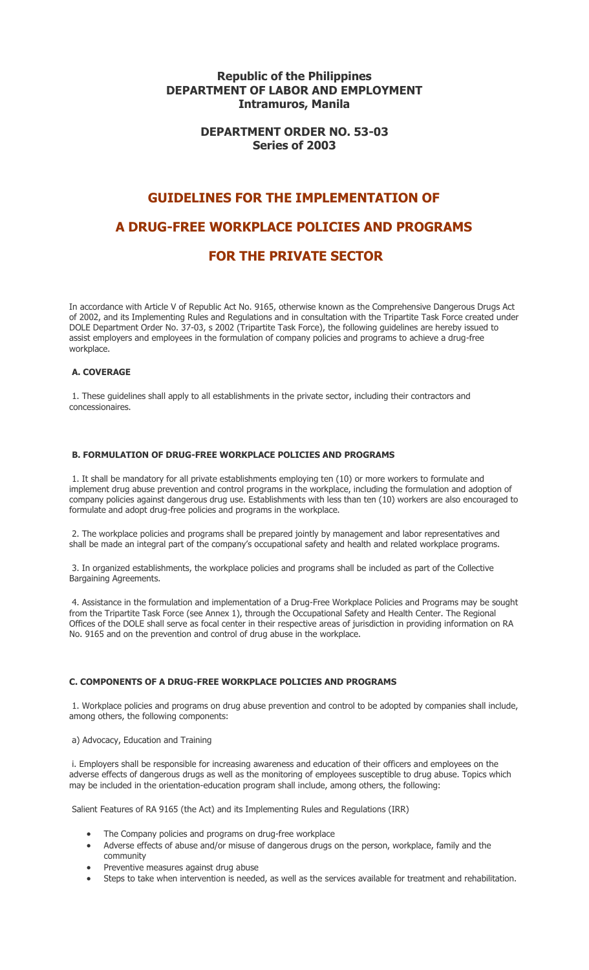# **Republic of the Philippines DEPARTMENT OF LABOR AND EMPLOYMENT Intramuros, Manila**

# **DEPARTMENT ORDER NO. 53-03 Series of 2003**

# **GUIDELINES FOR THE IMPLEMENTATION OF A DRUG-FREE WORKPLACE POLICIES AND PROGRAMS FOR THE PRIVATE SECTOR**

In accordance with Article V of Republic Act No. 9165, otherwise known as the Comprehensive Dangerous Drugs Act of 2002, and its Implementing Rules and Regulations and in consultation with the Tripartite Task Force created under DOLE Department Order No. 37-03, s 2002 (Tripartite Task Force), the following guidelines are hereby issued to assist employers and employees in the formulation of company policies and programs to achieve a drug-free workplace.

# **A. COVERAGE**

1. These guidelines shall apply to all establishments in the private sector, including their contractors and concessionaires.

# **B. FORMULATION OF DRUG-FREE WORKPLACE POLICIES AND PROGRAMS**

1. It shall be mandatory for all private establishments employing ten (10) or more workers to formulate and implement drug abuse prevention and control programs in the workplace, including the formulation and adoption of company policies against dangerous drug use. Establishments with less than ten (10) workers are also encouraged to formulate and adopt drug-free policies and programs in the workplace.

2. The workplace policies and programs shall be prepared jointly by management and labor representatives and shall be made an integral part of the company's occupational safety and health and related workplace programs.

3. In organized establishments, the workplace policies and programs shall be included as part of the Collective Bargaining Agreements.

4. Assistance in the formulation and implementation of a Drug-Free Workplace Policies and Programs may be sought from the Tripartite Task Force (see Annex 1), through the Occupational Safety and Health Center. The Regional Offices of the DOLE shall serve as focal center in their respective areas of jurisdiction in providing information on RA No. 9165 and on the prevention and control of drug abuse in the workplace.

#### **C. COMPONENTS OF A DRUG-FREE WORKPLACE POLICIES AND PROGRAMS**

1. Workplace policies and programs on drug abuse prevention and control to be adopted by companies shall include, among others, the following components:

#### a) Advocacy, Education and Training

i. Employers shall be responsible for increasing awareness and education of their officers and employees on the adverse effects of dangerous drugs as well as the monitoring of employees susceptible to drug abuse. Topics which may be included in the orientation-education program shall include, among others, the following:

Salient Features of RA 9165 (the Act) and its Implementing Rules and Regulations (IRR)

- The Company policies and programs on drug-free workplace
- Adverse effects of abuse and/or misuse of dangerous drugs on the person, workplace, family and the community
- Preventive measures against drug abuse
- Steps to take when intervention is needed, as well as the services available for treatment and rehabilitation.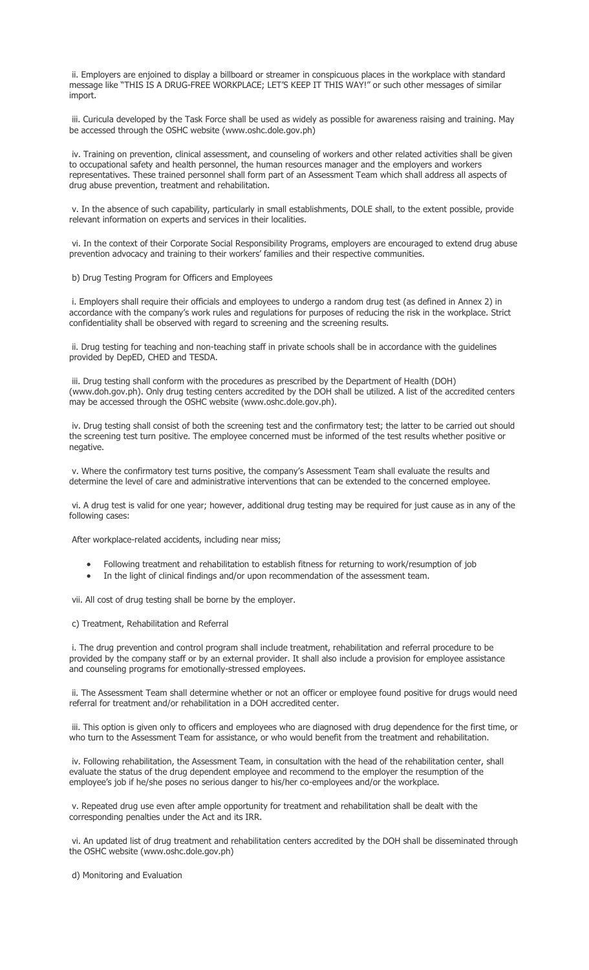ii. Employers are enjoined to display a billboard or streamer in conspicuous places in the workplace with standard message like "THIS IS A DRUG-FREE WORKPLACE; LET'S KEEP IT THIS WAY!" or such other messages of similar import.

iii. Curicula developed by the Task Force shall be used as widely as possible for awareness raising and training. May be accessed through the OSHC website (www.oshc.dole.gov.ph)

iv. Training on prevention, clinical assessment, and counseling of workers and other related activities shall be given to occupational safety and health personnel, the human resources manager and the employers and workers representatives. These trained personnel shall form part of an Assessment Team which shall address all aspects of drug abuse prevention, treatment and rehabilitation.

v. In the absence of such capability, particularly in small establishments, DOLE shall, to the extent possible, provide relevant information on experts and services in their localities.

vi. In the context of their Corporate Social Responsibility Programs, employers are encouraged to extend drug abuse prevention advocacy and training to their workers' families and their respective communities.

b) Drug Testing Program for Officers and Employees

i. Employers shall require their officials and employees to undergo a random drug test (as defined in Annex 2) in accordance with the company's work rules and regulations for purposes of reducing the risk in the workplace. Strict confidentiality shall be observed with regard to screening and the screening results.

ii. Drug testing for teaching and non-teaching staff in private schools shall be in accordance with the guidelines provided by DepED, CHED and TESDA.

iii. Drug testing shall conform with the procedures as prescribed by the Department of Health (DOH) (www.doh.gov.ph). Only drug testing centers accredited by the DOH shall be utilized. A list of the accredited centers may be accessed through the OSHC website (www.oshc.dole.gov.ph).

iv. Drug testing shall consist of both the screening test and the confirmatory test; the latter to be carried out should the screening test turn positive. The employee concerned must be informed of the test results whether positive or negative.

v. Where the confirmatory test turns positive, the company's Assessment Team shall evaluate the results and determine the level of care and administrative interventions that can be extended to the concerned employee.

vi. A drug test is valid for one year; however, additional drug testing may be required for just cause as in any of the following cases:

After workplace-related accidents, including near miss;

- Following treatment and rehabilitation to establish fitness for returning to work/resumption of job
- In the light of clinical findings and/or upon recommendation of the assessment team.

vii. All cost of drug testing shall be borne by the employer.

c) Treatment, Rehabilitation and Referral

i. The drug prevention and control program shall include treatment, rehabilitation and referral procedure to be provided by the company staff or by an external provider. It shall also include a provision for employee assistance and counseling programs for emotionally-stressed employees.

ii. The Assessment Team shall determine whether or not an officer or employee found positive for drugs would need referral for treatment and/or rehabilitation in a DOH accredited center.

iii. This option is given only to officers and employees who are diagnosed with drug dependence for the first time, or who turn to the Assessment Team for assistance, or who would benefit from the treatment and rehabilitation.

iv. Following rehabilitation, the Assessment Team, in consultation with the head of the rehabilitation center, shall evaluate the status of the drug dependent employee and recommend to the employer the resumption of the employee's job if he/she poses no serious danger to his/her co-employees and/or the workplace.

v. Repeated drug use even after ample opportunity for treatment and rehabilitation shall be dealt with the corresponding penalties under the Act and its IRR.

vi. An updated list of drug treatment and rehabilitation centers accredited by the DOH shall be disseminated through the OSHC website (www.oshc.dole.gov.ph)

d) Monitoring and Evaluation